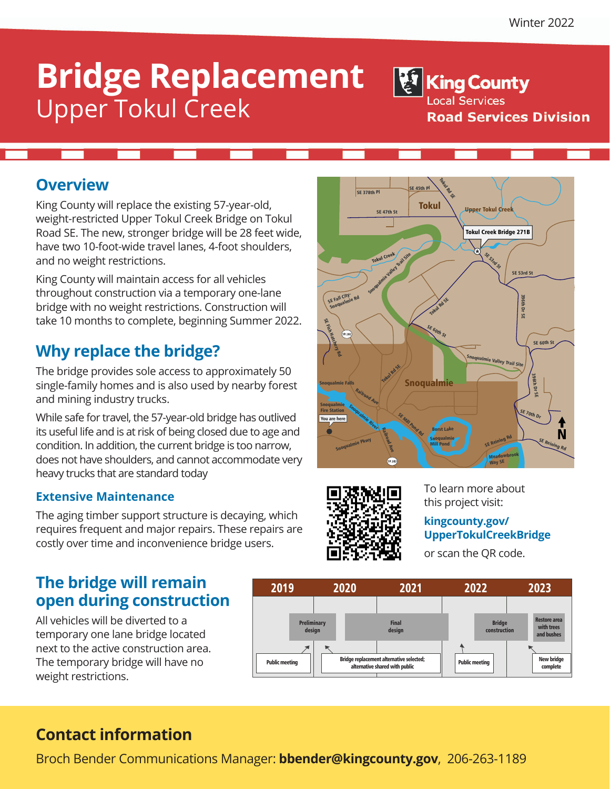# **Bridge Replacement** Upper Tokul Creek

<sup>髮</sup> King County **Local Services Road Services Division** 

## **Overview**

King County will replace the existing 57-year-old, weight-restricted Upper Tokul Creek Bridge on Tokul Road SE. The new, stronger bridge will be 28 feet wide, have two 10-foot-wide travel lanes, 4-foot shoulders, and no weight restrictions.

King County will maintain access for all vehicles throughout construction via a temporary one-lane bridge with no weight restrictions. Construction will take 10 months to complete, beginning Summer 2022.

## **Why replace the bridge?**

The bridge provides sole access to approximately 50 single-family homes and is also used by nearby forest and mining industry trucks.

While safe for travel, the 57-year-old bridge has outlived its useful life and is at risk of being closed due to age and condition. In addition, the current bridge is too narrow, does not have shoulders, and cannot accommodate very heavy trucks that are standard today

### **Extensive Maintenance**

The aging timber support structure is decaying, which requires frequent and major repairs. These repairs are costly over time and inconvenience bridge users.

## **The bridge will remain open during construction**

All vehicles will be diverted to a temporary one lane bridge located next to the active construction area. The temporary bridge will have no weight restrictions.





To learn more about this project visit:

#### **kingcounty.gov/ UpperTokulCreekBridge**

or scan the QR code.



## **Contact information**

Broch Bender Communications Manager: **bbender@kingcounty.gov**, 206-263-1189